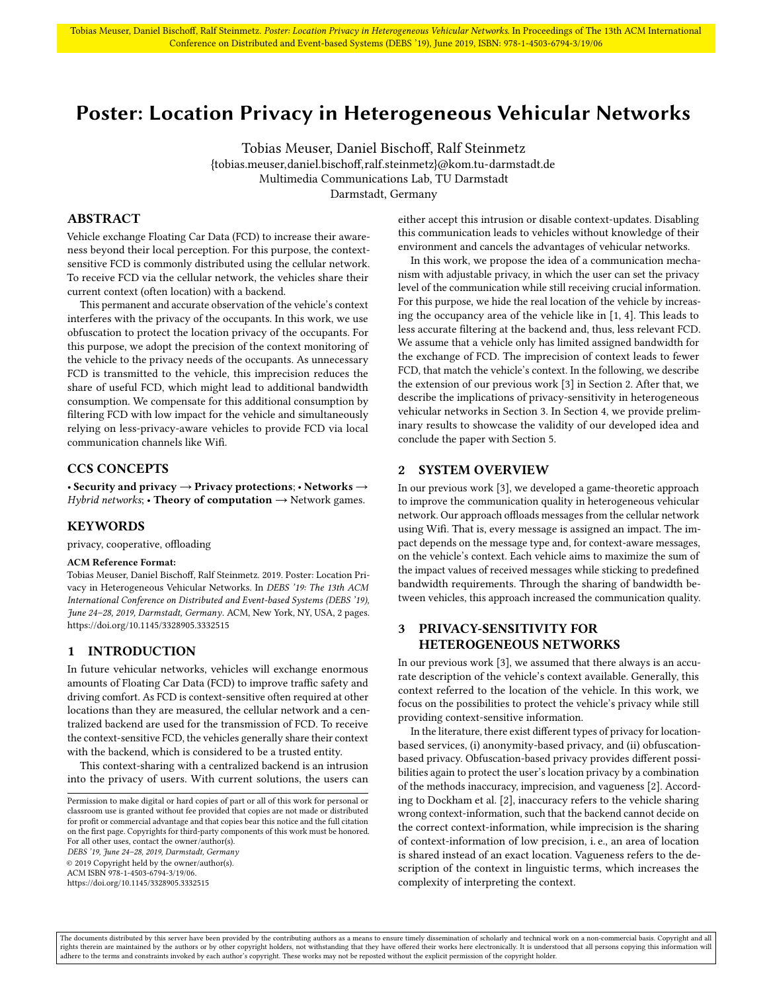# <span id="page-0-2"></span>Poster: Location Privacy in Heterogeneous Vehicular Networks

Tobias Meuser, Daniel Bischoff, Ralf Steinmetz

{tobias.meuser,daniel.bischoff,ralf.steinmetz}@kom.tu-darmstadt.de Multimedia Communications Lab, TU Darmstadt Darmstadt, Germany

### ABSTRACT

Vehicle exchange Floating Car Data (FCD) to increase their awareness beyond their local perception. For this purpose, the contextsensitive FCD is commonly distributed using the cellular network. To receive FCD via the cellular network, the vehicles share their current context (often location) with a backend.

This permanent and accurate observation of the vehicle's context interferes with the privacy of the occupants. In this work, we use obfuscation to protect the location privacy of the occupants. For this purpose, we adopt the precision of the context monitoring of the vehicle to the privacy needs of the occupants. As unnecessary FCD is transmitted to the vehicle, this imprecision reduces the share of useful FCD, which might lead to additional bandwidth consumption. We compensate for this additional consumption by filtering FCD with low impact for the vehicle and simultaneously relying on less-privacy-aware vehicles to provide FCD via local communication channels like Wifi.

### CCS CONCEPTS

• Security and privacy  $\rightarrow$  Privacy protections; • Networks  $\rightarrow$ Hybrid networks; • Theory of computation  $\rightarrow$  Network games.

### **KEYWORDS**

privacy, cooperative, offloading

#### ACM Reference Format:

Tobias Meuser, Daniel Bischoff, Ralf Steinmetz. 2019. Poster: Location Privacy in Heterogeneous Vehicular Networks. In DEBS '19: The 13th ACM International Conference on Distributed and Event-based Systems (DEBS '19), June 24–28, 2019, Darmstadt, Germany. ACM, New York, NY, USA, [2](#page-1-0) pages. <https://doi.org/10.1145/3328905.3332515>

### 1 INTRODUCTION

In future vehicular networks, vehicles will exchange enormous amounts of Floating Car Data (FCD) to improve traffic safety and driving comfort. As FCD is context-sensitive often required at other locations than they are measured, the cellular network and a centralized backend are used for the transmission of FCD. To receive the context-sensitive FCD, the vehicles generally share their context with the backend, which is considered to be a trusted entity.

This context-sharing with a centralized backend is an intrusion into the privacy of users. With current solutions, the users can

DEBS '19, June 24–28, 2019, Darmstadt, Germany

© 2019 Copyright held by the owner/author(s). ACM ISBN 978-1-4503-6794-3/19/06.

either accept this intrusion or disable context-updates. Disabling this communication leads to vehicles without knowledge of their environment and cancels the advantages of vehicular networks.

In this work, we propose the idea of a communication mechanism with adjustable privacy, in which the user can set the privacy level of the communication while still receiving crucial information. For this purpose, we hide the real location of the vehicle by increasing the occupancy area of the vehicle like in [\[1,](#page-1-1) [4\]](#page-1-2). This leads to less accurate filtering at the backend and, thus, less relevant FCD. We assume that a vehicle only has limited assigned bandwidth for the exchange of FCD. The imprecision of context leads to fewer FCD, that match the vehicle's context. In the following, we describe the extension of our previous work [\[3\]](#page-1-3) in [Section 2.](#page-0-0) After that, we describe the implications of privacy-sensitivity in heterogeneous vehicular networks in [Section 3.](#page-0-1) In [Section 4,](#page-1-4) we provide preliminary results to showcase the validity of our developed idea and conclude the paper with [Section 5.](#page-1-5)

### <span id="page-0-0"></span>2 SYSTEM OVERVIEW

In our previous work [\[3\]](#page-1-3), we developed a game-theoretic approach to improve the communication quality in heterogeneous vehicular network. Our approach offloads messages from the cellular network using Wifi. That is, every message is assigned an impact. The impact depends on the message type and, for context-aware messages, on the vehicle's context. Each vehicle aims to maximize the sum of the impact values of received messages while sticking to predefined bandwidth requirements. Through the sharing of bandwidth between vehicles, this approach increased the communication quality.

### <span id="page-0-1"></span>3 PRIVACY-SENSITIVITY FOR HETEROGENEOUS NETWORKS

In our previous work [\[3\]](#page-1-3), we assumed that there always is an accurate description of the vehicle's context available. Generally, this context referred to the location of the vehicle. In this work, we focus on the possibilities to protect the vehicle's privacy while still providing context-sensitive information.

In the literature, there exist different types of privacy for locationbased services, (i) anonymity-based privacy, and (ii) obfuscationbased privacy. Obfuscation-based privacy provides different possibilities again to protect the user's location privacy by a combination of the methods inaccuracy, imprecision, and vagueness [\[2\]](#page-1-6). According to Dockham et al. [\[2\]](#page-1-6), inaccuracy refers to the vehicle sharing wrong context-information, such that the backend cannot decide on the correct context-information, while imprecision is the sharing of context-information of low precision, i. e., an area of location is shared instead of an exact location. Vagueness refers to the description of the context in linguistic terms, which increases the complexity of interpreting the context.

The documents distributed by this server have been provided by the contributing authors as a means to ensure timely dissemination of scholarly and technical work on a non-commercial basis. Copyright and all rights therein are maintained by the authors or by other copyright holders, not withstanding that they have offered their works here electronically. It is understood that all persons copying this information will<br>adhere to

Permission to make digital or hard copies of part or all of this work for personal or classroom use is granted without fee provided that copies are not made or distributed for profit or commercial advantage and that copies bear this notice and the full citation on the first page. Copyrights for third-party components of this work must be honored. For all other uses, contact the owner/author(s).

<https://doi.org/10.1145/3328905.3332515>